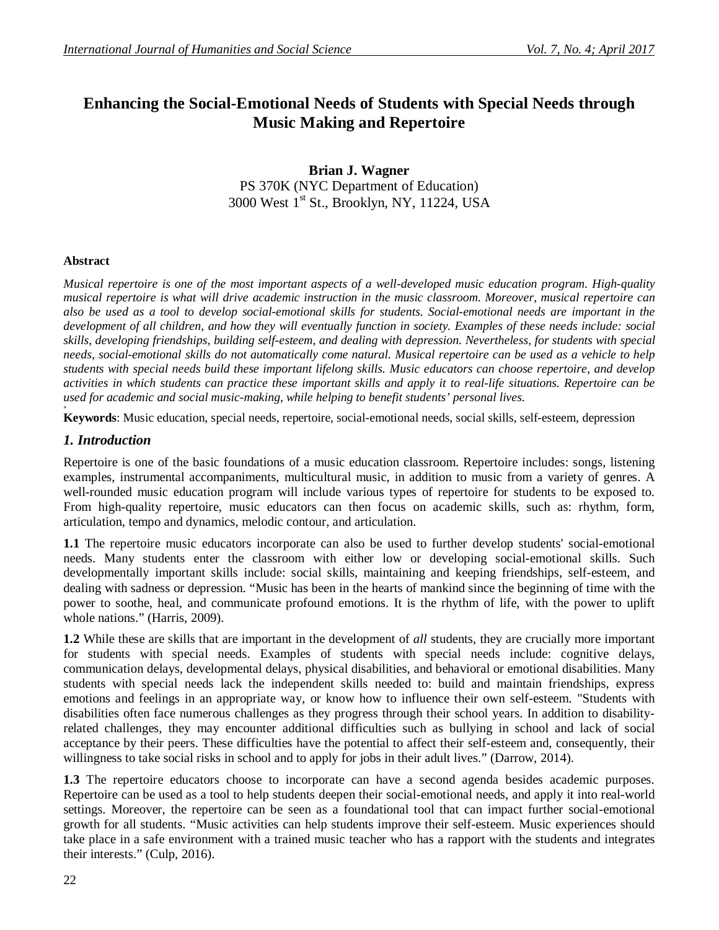# **Enhancing the Social-Emotional Needs of Students with Special Needs through Music Making and Repertoire**

### **Brian J. Wagner** PS 370K (NYC Department of Education) 3000 West 1<sup>st</sup> St., Brooklyn, NY, 11224, USA

#### **Abstract**

*Musical repertoire is one of the most important aspects of a well-developed music education program. High-quality musical repertoire is what will drive academic instruction in the music classroom. Moreover, musical repertoire can also be used as a tool to develop social-emotional skills for students. Social-emotional needs are important in the development of all children, and how they will eventually function in society. Examples of these needs include: social skills, developing friendships, building self-esteem, and dealing with depression. Nevertheless, for students with special needs, social-emotional skills do not automatically come natural. Musical repertoire can be used as a vehicle to help students with special needs build these important lifelong skills. Music educators can choose repertoire, and develop activities in which students can practice these important skills and apply it to real-life situations. Repertoire can be used for academic and social music-making, while helping to benefit students' personal lives.*

**+ Keywords**: Music education, special needs, repertoire, social-emotional needs, social skills, self-esteem, depression

#### *1. Introduction*

Repertoire is one of the basic foundations of a music education classroom. Repertoire includes: songs, listening examples, instrumental accompaniments, multicultural music, in addition to music from a variety of genres. A well-rounded music education program will include various types of repertoire for students to be exposed to. From high-quality repertoire, music educators can then focus on academic skills, such as: rhythm, form, articulation, tempo and dynamics, melodic contour, and articulation.

**1.1** The repertoire music educators incorporate can also be used to further develop students' social-emotional needs. Many students enter the classroom with either low or developing social-emotional skills. Such developmentally important skills include: social skills, maintaining and keeping friendships, self-esteem, and dealing with sadness or depression. "Music has been in the hearts of mankind since the beginning of time with the power to soothe, heal, and communicate profound emotions. It is the rhythm of life, with the power to uplift whole nations." (Harris, 2009).

**1.2** While these are skills that are important in the development of *all* students, they are crucially more important for students with special needs. Examples of students with special needs include: cognitive delays, communication delays, developmental delays, physical disabilities, and behavioral or emotional disabilities. Many students with special needs lack the independent skills needed to: build and maintain friendships, express emotions and feelings in an appropriate way, or know how to influence their own self-esteem. "Students with disabilities often face numerous challenges as they progress through their school years. In addition to disabilityrelated challenges, they may encounter additional difficulties such as bullying in school and lack of social acceptance by their peers. These difficulties have the potential to affect their self-esteem and, consequently, their willingness to take social risks in school and to apply for jobs in their adult lives." (Darrow, 2014).

**1.3** The repertoire educators choose to incorporate can have a second agenda besides academic purposes. Repertoire can be used as a tool to help students deepen their social-emotional needs, and apply it into real-world settings. Moreover, the repertoire can be seen as a foundational tool that can impact further social-emotional growth for all students. "Music activities can help students improve their self-esteem. Music experiences should take place in a safe environment with a trained music teacher who has a rapport with the students and integrates their interests." (Culp, 2016).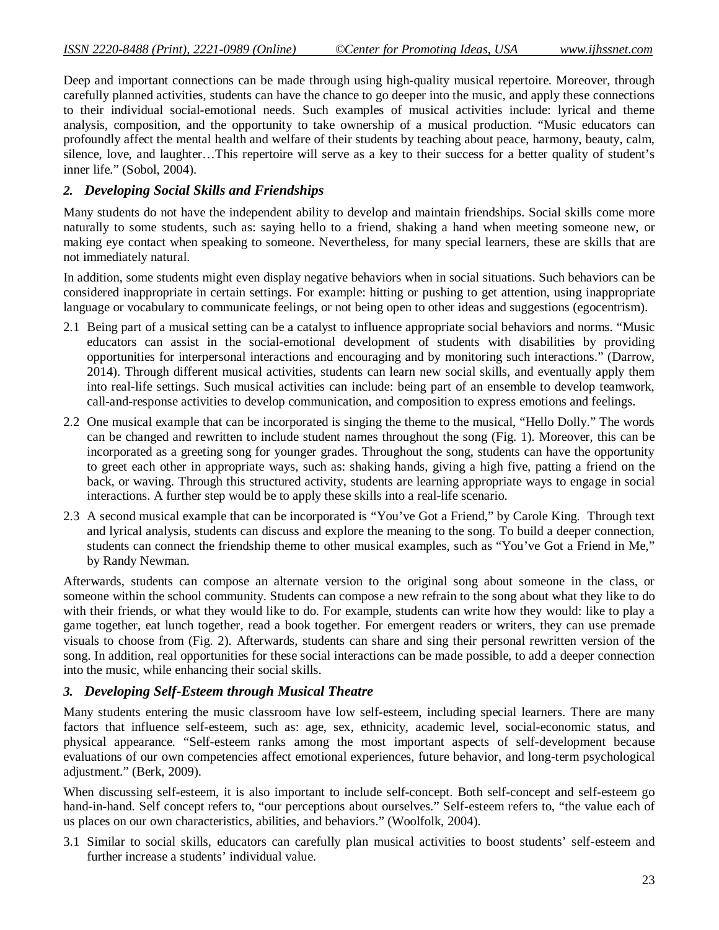Deep and important connections can be made through using high-quality musical repertoire. Moreover, through carefully planned activities, students can have the chance to go deeper into the music, and apply these connections to their individual social-emotional needs. Such examples of musical activities include: lyrical and theme analysis, composition, and the opportunity to take ownership of a musical production. "Music educators can profoundly affect the mental health and welfare of their students by teaching about peace, harmony, beauty, calm, silence, love, and laughter…This repertoire will serve as a key to their success for a better quality of student's inner life." (Sobol, 2004).

### *2. Developing Social Skills and Friendships*

Many students do not have the independent ability to develop and maintain friendships. Social skills come more naturally to some students, such as: saying hello to a friend, shaking a hand when meeting someone new, or making eye contact when speaking to someone. Nevertheless, for many special learners, these are skills that are not immediately natural.

In addition, some students might even display negative behaviors when in social situations. Such behaviors can be considered inappropriate in certain settings. For example: hitting or pushing to get attention, using inappropriate language or vocabulary to communicate feelings, or not being open to other ideas and suggestions (egocentrism).

- 2.1 Being part of a musical setting can be a catalyst to influence appropriate social behaviors and norms. "Music educators can assist in the social-emotional development of students with disabilities by providing opportunities for interpersonal interactions and encouraging and by monitoring such interactions." (Darrow, 2014). Through different musical activities, students can learn new social skills, and eventually apply them into real-life settings. Such musical activities can include: being part of an ensemble to develop teamwork, call-and-response activities to develop communication, and composition to express emotions and feelings.
- 2.2 One musical example that can be incorporated is singing the theme to the musical, "Hello Dolly." The words can be changed and rewritten to include student names throughout the song (Fig. 1). Moreover, this can be incorporated as a greeting song for younger grades. Throughout the song, students can have the opportunity to greet each other in appropriate ways, such as: shaking hands, giving a high five, patting a friend on the back, or waving. Through this structured activity, students are learning appropriate ways to engage in social interactions. A further step would be to apply these skills into a real-life scenario.
- 2.3 A second musical example that can be incorporated is "You've Got a Friend," by Carole King. Through text and lyrical analysis, students can discuss and explore the meaning to the song. To build a deeper connection, students can connect the friendship theme to other musical examples, such as "You've Got a Friend in Me," by Randy Newman.

Afterwards, students can compose an alternate version to the original song about someone in the class, or someone within the school community. Students can compose a new refrain to the song about what they like to do with their friends, or what they would like to do. For example, students can write how they would: like to play a game together, eat lunch together, read a book together. For emergent readers or writers, they can use premade visuals to choose from (Fig. 2). Afterwards, students can share and sing their personal rewritten version of the song. In addition, real opportunities for these social interactions can be made possible, to add a deeper connection into the music, while enhancing their social skills.

# *3. Developing Self-Esteem through Musical Theatre*

Many students entering the music classroom have low self-esteem, including special learners. There are many factors that influence self-esteem, such as: age, sex, ethnicity, academic level, social-economic status, and physical appearance. "Self-esteem ranks among the most important aspects of self-development because evaluations of our own competencies affect emotional experiences, future behavior, and long-term psychological adjustment." (Berk, 2009).

When discussing self-esteem, it is also important to include self-concept. Both self-concept and self-esteem go hand-in-hand. Self concept refers to, "our perceptions about ourselves." Self-esteem refers to, "the value each of us places on our own characteristics, abilities, and behaviors." (Woolfolk, 2004).

3.1 Similar to social skills, educators can carefully plan musical activities to boost students' self-esteem and further increase a students' individual value.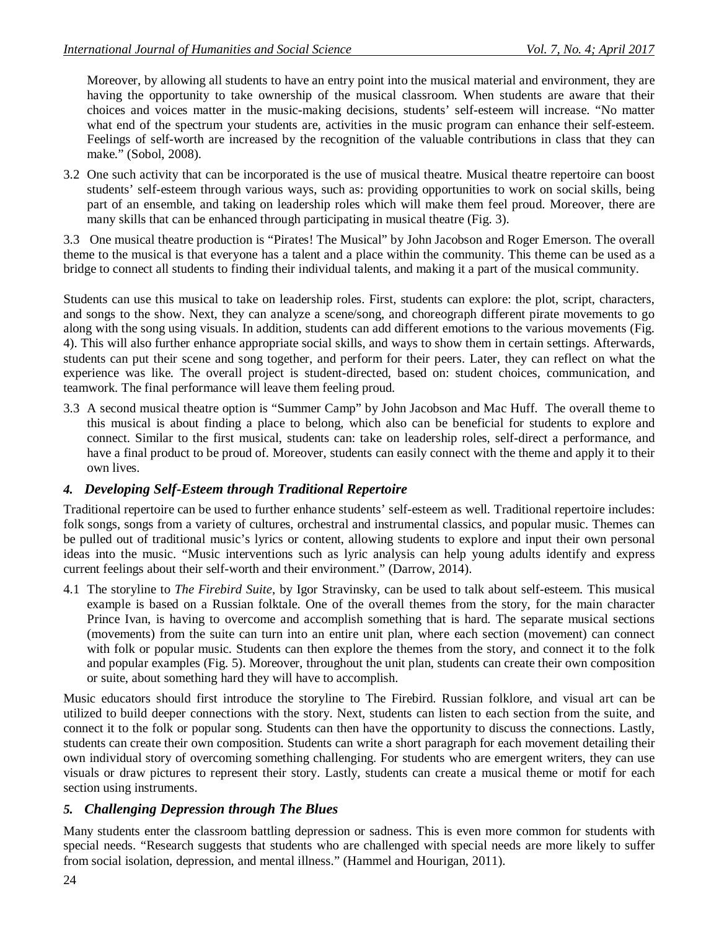Moreover, by allowing all students to have an entry point into the musical material and environment, they are having the opportunity to take ownership of the musical classroom. When students are aware that their choices and voices matter in the music-making decisions, students' self-esteem will increase. "No matter what end of the spectrum your students are, activities in the music program can enhance their self-esteem. Feelings of self-worth are increased by the recognition of the valuable contributions in class that they can make." (Sobol, 2008).

3.2 One such activity that can be incorporated is the use of musical theatre. Musical theatre repertoire can boost students' self-esteem through various ways, such as: providing opportunities to work on social skills, being part of an ensemble, and taking on leadership roles which will make them feel proud. Moreover, there are many skills that can be enhanced through participating in musical theatre (Fig. 3).

3.3 One musical theatre production is "Pirates! The Musical" by John Jacobson and Roger Emerson. The overall theme to the musical is that everyone has a talent and a place within the community. This theme can be used as a bridge to connect all students to finding their individual talents, and making it a part of the musical community.

Students can use this musical to take on leadership roles. First, students can explore: the plot, script, characters, and songs to the show. Next, they can analyze a scene/song, and choreograph different pirate movements to go along with the song using visuals. In addition, students can add different emotions to the various movements (Fig. 4). This will also further enhance appropriate social skills, and ways to show them in certain settings. Afterwards, students can put their scene and song together, and perform for their peers. Later, they can reflect on what the experience was like. The overall project is student-directed, based on: student choices, communication, and teamwork. The final performance will leave them feeling proud.

3.3 A second musical theatre option is "Summer Camp" by John Jacobson and Mac Huff. The overall theme to this musical is about finding a place to belong, which also can be beneficial for students to explore and connect. Similar to the first musical, students can: take on leadership roles, self-direct a performance, and have a final product to be proud of. Moreover, students can easily connect with the theme and apply it to their own lives.

# *4. Developing Self-Esteem through Traditional Repertoire*

Traditional repertoire can be used to further enhance students' self-esteem as well. Traditional repertoire includes: folk songs, songs from a variety of cultures, orchestral and instrumental classics, and popular music. Themes can be pulled out of traditional music's lyrics or content, allowing students to explore and input their own personal ideas into the music. "Music interventions such as lyric analysis can help young adults identify and express current feelings about their self-worth and their environment." (Darrow, 2014).

4.1 The storyline to *The Firebird Suite*, by Igor Stravinsky, can be used to talk about self-esteem. This musical example is based on a Russian folktale. One of the overall themes from the story, for the main character Prince Ivan, is having to overcome and accomplish something that is hard. The separate musical sections (movements) from the suite can turn into an entire unit plan, where each section (movement) can connect with folk or popular music. Students can then explore the themes from the story, and connect it to the folk and popular examples (Fig. 5). Moreover, throughout the unit plan, students can create their own composition or suite, about something hard they will have to accomplish.

Music educators should first introduce the storyline to The Firebird. Russian folklore, and visual art can be utilized to build deeper connections with the story. Next, students can listen to each section from the suite, and connect it to the folk or popular song. Students can then have the opportunity to discuss the connections. Lastly, students can create their own composition. Students can write a short paragraph for each movement detailing their own individual story of overcoming something challenging. For students who are emergent writers, they can use visuals or draw pictures to represent their story. Lastly, students can create a musical theme or motif for each section using instruments.

# *5. Challenging Depression through The Blues*

Many students enter the classroom battling depression or sadness. This is even more common for students with special needs. "Research suggests that students who are challenged with special needs are more likely to suffer from social isolation, depression, and mental illness." (Hammel and Hourigan, 2011).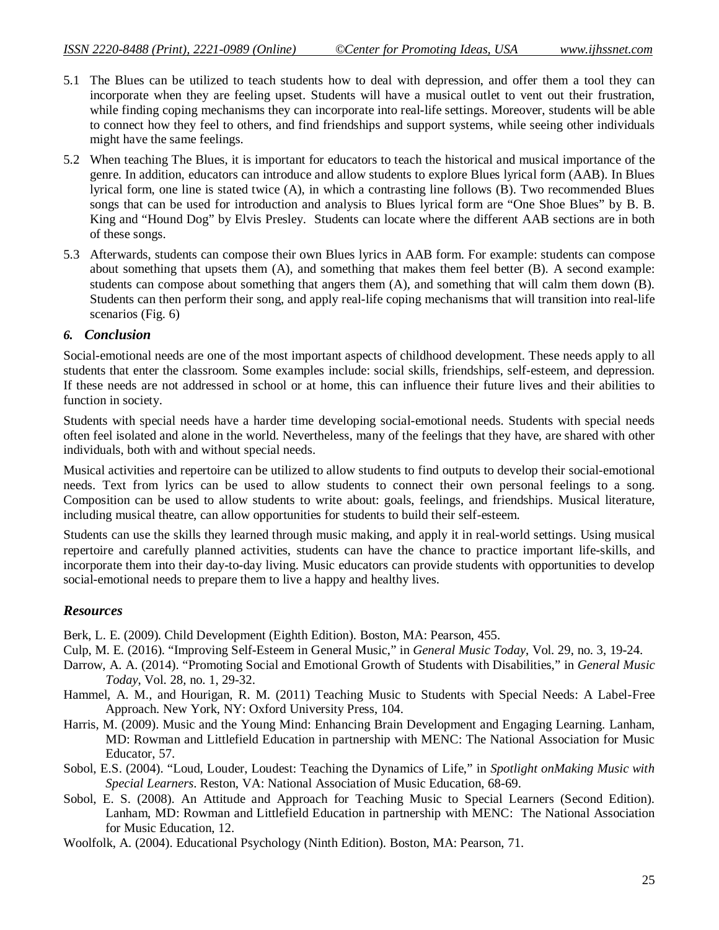- 5.1 The Blues can be utilized to teach students how to deal with depression, and offer them a tool they can incorporate when they are feeling upset. Students will have a musical outlet to vent out their frustration, while finding coping mechanisms they can incorporate into real-life settings. Moreover, students will be able to connect how they feel to others, and find friendships and support systems, while seeing other individuals might have the same feelings.
- 5.2 When teaching The Blues, it is important for educators to teach the historical and musical importance of the genre. In addition, educators can introduce and allow students to explore Blues lyrical form (AAB). In Blues lyrical form, one line is stated twice (A), in which a contrasting line follows (B). Two recommended Blues songs that can be used for introduction and analysis to Blues lyrical form are "One Shoe Blues" by B. B. King and "Hound Dog" by Elvis Presley. Students can locate where the different AAB sections are in both of these songs.
- 5.3 Afterwards, students can compose their own Blues lyrics in AAB form. For example: students can compose about something that upsets them (A), and something that makes them feel better (B). A second example: students can compose about something that angers them (A), and something that will calm them down (B). Students can then perform their song, and apply real-life coping mechanisms that will transition into real-life scenarios (Fig. 6)

#### *6. Conclusion*

Social-emotional needs are one of the most important aspects of childhood development. These needs apply to all students that enter the classroom. Some examples include: social skills, friendships, self-esteem, and depression. If these needs are not addressed in school or at home, this can influence their future lives and their abilities to function in society.

Students with special needs have a harder time developing social-emotional needs. Students with special needs often feel isolated and alone in the world. Nevertheless, many of the feelings that they have, are shared with other individuals, both with and without special needs.

Musical activities and repertoire can be utilized to allow students to find outputs to develop their social-emotional needs. Text from lyrics can be used to allow students to connect their own personal feelings to a song. Composition can be used to allow students to write about: goals, feelings, and friendships. Musical literature, including musical theatre, can allow opportunities for students to build their self-esteem.

Students can use the skills they learned through music making, and apply it in real-world settings. Using musical repertoire and carefully planned activities, students can have the chance to practice important life-skills, and incorporate them into their day-to-day living. Music educators can provide students with opportunities to develop social-emotional needs to prepare them to live a happy and healthy lives.

# *Resources*

Berk, L. E. (2009). Child Development (Eighth Edition). Boston, MA: Pearson, 455.

- Culp, M. E. (2016). "Improving Self-Esteem in General Music," in *General Music Today*, Vol. 29, no. 3, 19-24.
- Darrow, A. A. (2014). "Promoting Social and Emotional Growth of Students with Disabilities," in *General Music Today*, Vol. 28, no. 1, 29-32.
- Hammel, A. M., and Hourigan, R. M. (2011) Teaching Music to Students with Special Needs: A Label-Free Approach. New York, NY: Oxford University Press, 104.
- Harris, M. (2009). Music and the Young Mind: Enhancing Brain Development and Engaging Learning. Lanham, MD: Rowman and Littlefield Education in partnership with MENC: The National Association for Music Educator, 57.
- Sobol, E.S. (2004). "Loud, Louder, Loudest: Teaching the Dynamics of Life," in *Spotlight onMaking Music with Special Learners*. Reston, VA: National Association of Music Education, 68-69.
- Sobol, E. S. (2008). An Attitude and Approach for Teaching Music to Special Learners (Second Edition). Lanham, MD: Rowman and Littlefield Education in partnership with MENC: The National Association for Music Education, 12.
- Woolfolk, A. (2004). Educational Psychology (Ninth Edition). Boston, MA: Pearson, 71.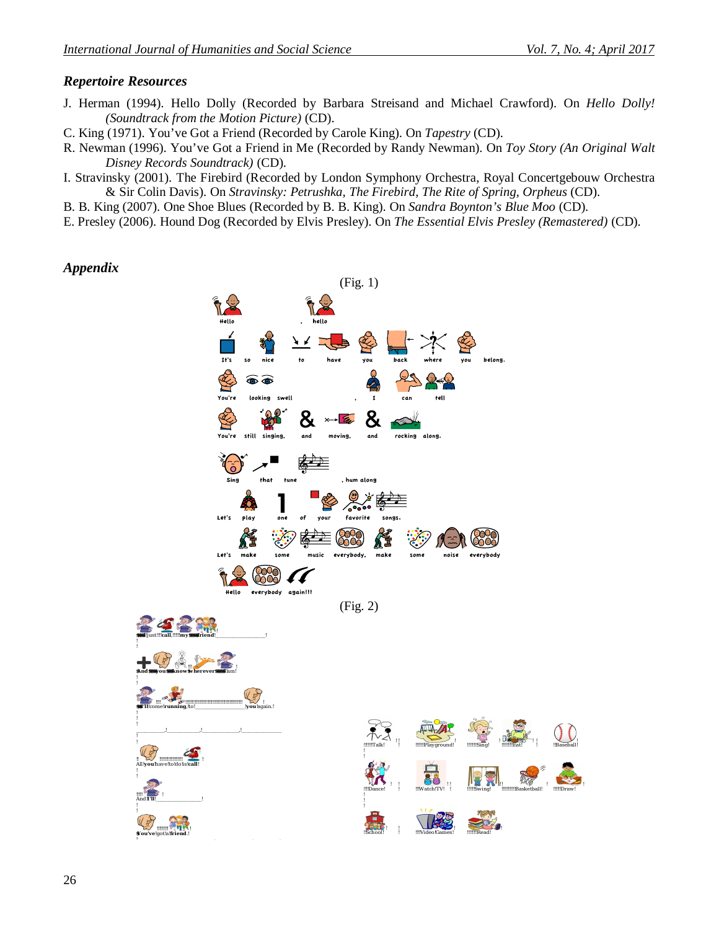### *Repertoire Resources*

- J. Herman (1994). Hello Dolly (Recorded by Barbara Streisand and Michael Crawford). On *Hello Dolly! (Soundtrack from the Motion Picture)* (CD).
- C. King (1971). You've Got a Friend (Recorded by Carole King). On *Tapestry* (CD).
- R. Newman (1996). You've Got a Friend in Me (Recorded by Randy Newman). On *Toy Story (An Original Walt Disney Records Soundtrack)* (CD).
- I. Stravinsky (2001). The Firebird (Recorded by London Symphony Orchestra, Royal Concertgebouw Orchestra & Sir Colin Davis). On *Stravinsky: Petrushka, The Firebird, The Rite of Spring, Orpheus* (CD).
- B. B. King (2007). One Shoe Blues (Recorded by B. B. King). On *Sandra Boynton's Blue Moo* (CD).
- E. Presley (2006). Hound Dog (Recorded by Elvis Presley). On *The Essential Elvis Presley (Remastered)* (CD).

#### *Appendix*